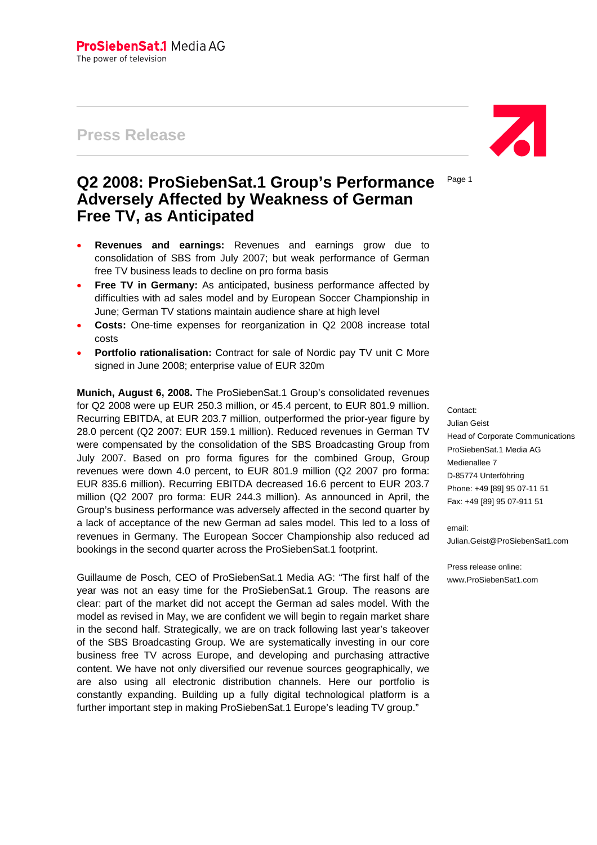# **Press Release**

# **Q2 2008: ProSiebenSat.1 Group's Performance Adversely Affected by Weakness of German Free TV, as Anticipated**

- **Revenues and earnings:** Revenues and earnings grow due to consolidation of SBS from July 2007; but weak performance of German free TV business leads to decline on pro forma basis
- **Free TV in Germany:** As anticipated, business performance affected by difficulties with ad sales model and by European Soccer Championship in June; German TV stations maintain audience share at high level
- **Costs:** One-time expenses for reorganization in Q2 2008 increase total costs
- **Portfolio rationalisation:** Contract for sale of Nordic pay TV unit C More signed in June 2008; enterprise value of EUR 320m

**Munich, August 6, 2008.** The ProSiebenSat.1 Group's consolidated revenues for Q2 2008 were up EUR 250.3 million, or 45.4 percent, to EUR 801.9 million. Recurring EBITDA, at EUR 203.7 million, outperformed the prior-year figure by 28.0 percent (Q2 2007: EUR 159.1 million). Reduced revenues in German TV were compensated by the consolidation of the SBS Broadcasting Group from July 2007. Based on pro forma figures for the combined Group, Group revenues were down 4.0 percent, to EUR 801.9 million (Q2 2007 pro forma: EUR 835.6 million). Recurring EBITDA decreased 16.6 percent to EUR 203.7 million (Q2 2007 pro forma: EUR 244.3 million). As announced in April, the Group's business performance was adversely affected in the second quarter by a lack of acceptance of the new German ad sales model. This led to a loss of revenues in Germany. The European Soccer Championship also reduced ad bookings in the second quarter across the ProSiebenSat.1 footprint.

Guillaume de Posch, CEO of ProSiebenSat.1 Media AG: "The first half of the year was not an easy time for the ProSiebenSat.1 Group. The reasons are clear: part of the market did not accept the German ad sales model. With the model as revised in May, we are confident we will begin to regain market share in the second half. Strategically, we are on track following last year's takeover of the SBS Broadcasting Group. We are systematically investing in our core business free TV across Europe, and developing and purchasing attractive content. We have not only diversified our revenue sources geographically, we are also using all electronic distribution channels. Here our portfolio is constantly expanding. Building up a fully digital technological platform is a further important step in making ProSiebenSat.1 Europe's leading TV group."



Page 1

Contact: Julian Geist Head of Corporate Communications ProSiebenSat.1 Media AG Medienallee 7 D-85774 Unterföhring Phone: +49 [89] 95 07-11 51 Fax: +49 [89] 95 07-911 51

email: Julian.Geist@ProSiebenSat1.com

Press release online: www.ProSiebenSat1.com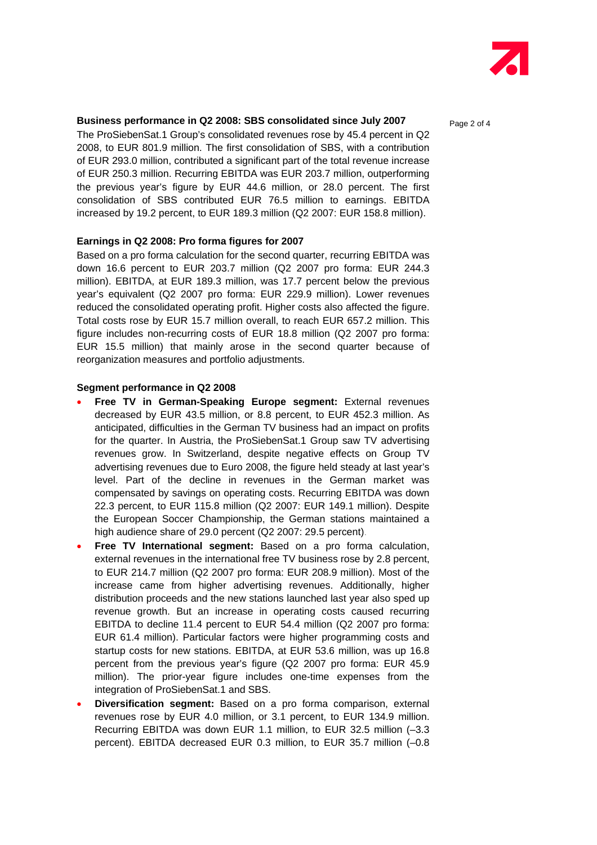

## **Business performance in Q2 2008: SBS consolidated since July 2007** Page 2 of 4

The ProSiebenSat.1 Group's consolidated revenues rose by 45.4 percent in Q2 2008, to EUR 801.9 million. The first consolidation of SBS, with a contribution of EUR 293.0 million, contributed a significant part of the total revenue increase of EUR 250.3 million. Recurring EBITDA was EUR 203.7 million, outperforming the previous year's figure by EUR 44.6 million, or 28.0 percent. The first consolidation of SBS contributed EUR 76.5 million to earnings. EBITDA increased by 19.2 percent, to EUR 189.3 million (Q2 2007: EUR 158.8 million).

#### **Earnings in Q2 2008: Pro forma figures for 2007**

Based on a pro forma calculation for the second quarter, recurring EBITDA was down 16.6 percent to EUR 203.7 million (Q2 2007 pro forma: EUR 244.3 million). EBITDA, at EUR 189.3 million, was 17.7 percent below the previous year's equivalent (Q2 2007 pro forma: EUR 229.9 million). Lower revenues reduced the consolidated operating profit. Higher costs also affected the figure. Total costs rose by EUR 15.7 million overall, to reach EUR 657.2 million. This figure includes non-recurring costs of EUR 18.8 million (Q2 2007 pro forma: EUR 15.5 million) that mainly arose in the second quarter because of reorganization measures and portfolio adjustments.

#### **Segment performance in Q2 2008**

- **Free TV in German-Speaking Europe segment:** External revenues decreased by EUR 43.5 million, or 8.8 percent, to EUR 452.3 million. As anticipated, difficulties in the German TV business had an impact on profits for the quarter. In Austria, the ProSiebenSat.1 Group saw TV advertising revenues grow. In Switzerland, despite negative effects on Group TV advertising revenues due to Euro 2008, the figure held steady at last year's level. Part of the decline in revenues in the German market was compensated by savings on operating costs. Recurring EBITDA was down 22.3 percent, to EUR 115.8 million (Q2 2007: EUR 149.1 million). Despite the European Soccer Championship, the German stations maintained a high audience share of 29.0 percent (Q2 2007: 29.5 percent).
- **Free TV International segment:** Based on a pro forma calculation, external revenues in the international free TV business rose by 2.8 percent, to EUR 214.7 million (Q2 2007 pro forma: EUR 208.9 million). Most of the increase came from higher advertising revenues. Additionally, higher distribution proceeds and the new stations launched last year also sped up revenue growth. But an increase in operating costs caused recurring EBITDA to decline 11.4 percent to EUR 54.4 million (Q2 2007 pro forma: EUR 61.4 million). Particular factors were higher programming costs and startup costs for new stations. EBITDA, at EUR 53.6 million, was up 16.8 percent from the previous year's figure (Q2 2007 pro forma: EUR 45.9 million). The prior-year figure includes one-time expenses from the integration of ProSiebenSat.1 and SBS.
- **Diversification segment:** Based on a pro forma comparison, external revenues rose by EUR 4.0 million, or 3.1 percent, to EUR 134.9 million. Recurring EBITDA was down EUR 1.1 million, to EUR 32.5 million (–3.3 percent). EBITDA decreased EUR 0.3 million, to EUR 35.7 million (–0.8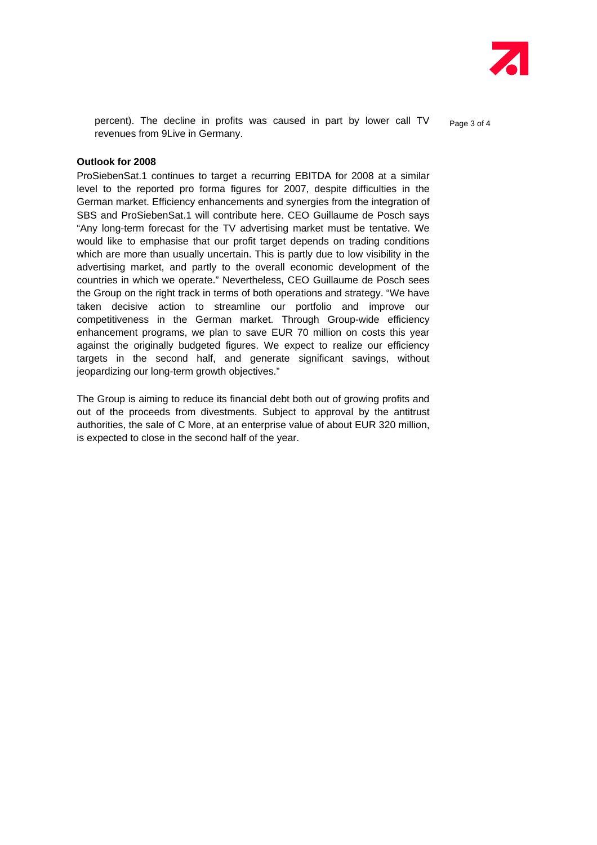

percent). The decline in profits was caused in part by lower call  $TV$   $_{\text{Paqe 3 of 4}}$ revenues from 9Live in Germany.

#### **Outlook for 2008**

ProSiebenSat.1 continues to target a recurring EBITDA for 2008 at a similar level to the reported pro forma figures for 2007, despite difficulties in the German market. Efficiency enhancements and synergies from the integration of SBS and ProSiebenSat.1 will contribute here. CEO Guillaume de Posch says "Any long-term forecast for the TV advertising market must be tentative. We would like to emphasise that our profit target depends on trading conditions which are more than usually uncertain. This is partly due to low visibility in the advertising market, and partly to the overall economic development of the countries in which we operate." Nevertheless, CEO Guillaume de Posch sees the Group on the right track in terms of both operations and strategy. "We have taken decisive action to streamline our portfolio and improve our competitiveness in the German market. Through Group-wide efficiency enhancement programs, we plan to save EUR 70 million on costs this year against the originally budgeted figures. We expect to realize our efficiency targets in the second half, and generate significant savings, without jeopardizing our long-term growth objectives."

The Group is aiming to reduce its financial debt both out of growing profits and out of the proceeds from divestments. Subject to approval by the antitrust authorities, the sale of C More, at an enterprise value of about EUR 320 million, is expected to close in the second half of the year.